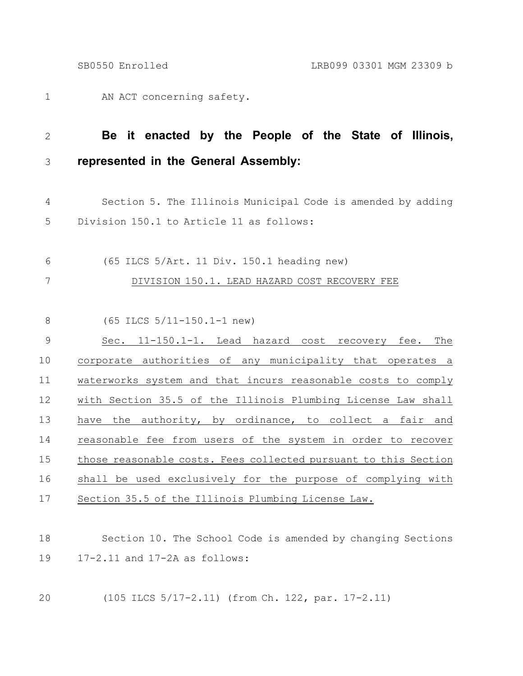AN ACT concerning safety. 1

## **Be it enacted by the People of the State of Illinois, represented in the General Assembly:** 2 3

- Section 5. The Illinois Municipal Code is amended by adding Division 150.1 to Article 11 as follows: 4 5
- (65 ILCS 5/Art. 11 Div. 150.1 heading new) 6
- 7

DIVISION 150.1. LEAD HAZARD COST RECOVERY FEE

(65 ILCS 5/11-150.1-1 new) 8

Sec. 11-150.1-1. Lead hazard cost recovery fee. The corporate authorities of any municipality that operates a waterworks system and that incurs reasonable costs to comply with Section 35.5 of the Illinois Plumbing License Law shall have the authority, by ordinance, to collect a fair and reasonable fee from users of the system in order to recover those reasonable costs. Fees collected pursuant to this Section shall be used exclusively for the purpose of complying with Section 35.5 of the Illinois Plumbing License Law. 9 10 11 12 13 14 15 16 17

- Section 10. The School Code is amended by changing Sections 17-2.11 and 17-2A as follows: 18 19
- (105 ILCS 5/17-2.11) (from Ch. 122, par. 17-2.11) 20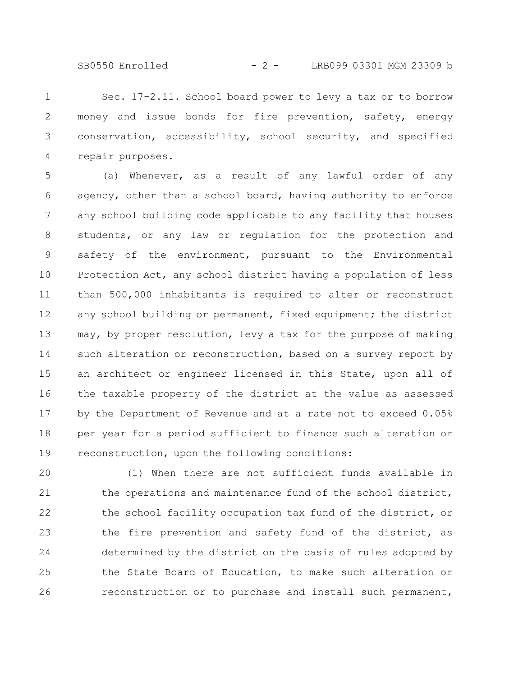SB0550 Enrolled - 2 - LRB099 03301 MGM 23309 b

Sec. 17-2.11. School board power to levy a tax or to borrow money and issue bonds for fire prevention, safety, energy conservation, accessibility, school security, and specified repair purposes. 1 2 3 4

(a) Whenever, as a result of any lawful order of any agency, other than a school board, having authority to enforce any school building code applicable to any facility that houses students, or any law or regulation for the protection and safety of the environment, pursuant to the Environmental Protection Act, any school district having a population of less than 500,000 inhabitants is required to alter or reconstruct any school building or permanent, fixed equipment; the district may, by proper resolution, levy a tax for the purpose of making such alteration or reconstruction, based on a survey report by an architect or engineer licensed in this State, upon all of the taxable property of the district at the value as assessed by the Department of Revenue and at a rate not to exceed 0.05% per year for a period sufficient to finance such alteration or reconstruction, upon the following conditions: 5 6 7 8 9 10 11 12 13 14 15 16 17 18 19

(1) When there are not sufficient funds available in the operations and maintenance fund of the school district, the school facility occupation tax fund of the district, or the fire prevention and safety fund of the district, as determined by the district on the basis of rules adopted by the State Board of Education, to make such alteration or reconstruction or to purchase and install such permanent, 20 21 22 23 24 25 26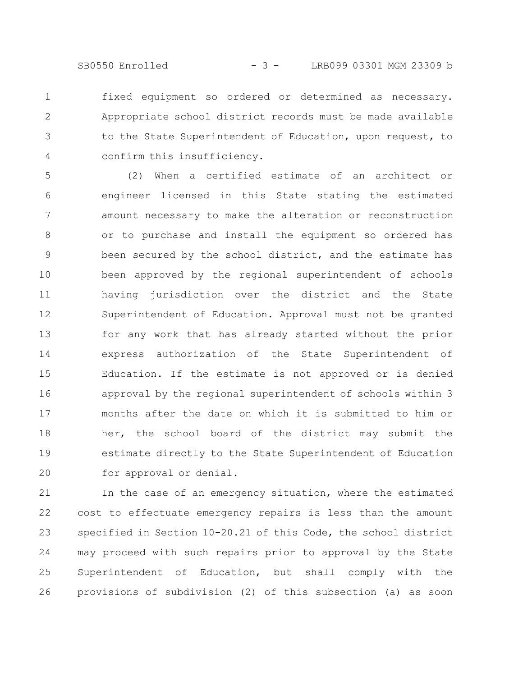SB0550 Enrolled - 3 - LRB099 03301 MGM 23309 b

fixed equipment so ordered or determined as necessary. Appropriate school district records must be made available to the State Superintendent of Education, upon request, to confirm this insufficiency. 1 2 3 4

(2) When a certified estimate of an architect or engineer licensed in this State stating the estimated amount necessary to make the alteration or reconstruction or to purchase and install the equipment so ordered has been secured by the school district, and the estimate has been approved by the regional superintendent of schools having jurisdiction over the district and the State Superintendent of Education. Approval must not be granted for any work that has already started without the prior express authorization of the State Superintendent of Education. If the estimate is not approved or is denied approval by the regional superintendent of schools within 3 months after the date on which it is submitted to him or her, the school board of the district may submit the estimate directly to the State Superintendent of Education for approval or denial. 5 6 7 8 9 10 11 12 13 14 15 16 17 18 19 20

In the case of an emergency situation, where the estimated cost to effectuate emergency repairs is less than the amount specified in Section 10-20.21 of this Code, the school district may proceed with such repairs prior to approval by the State Superintendent of Education, but shall comply with the provisions of subdivision (2) of this subsection (a) as soon 21 22 23 24 25 26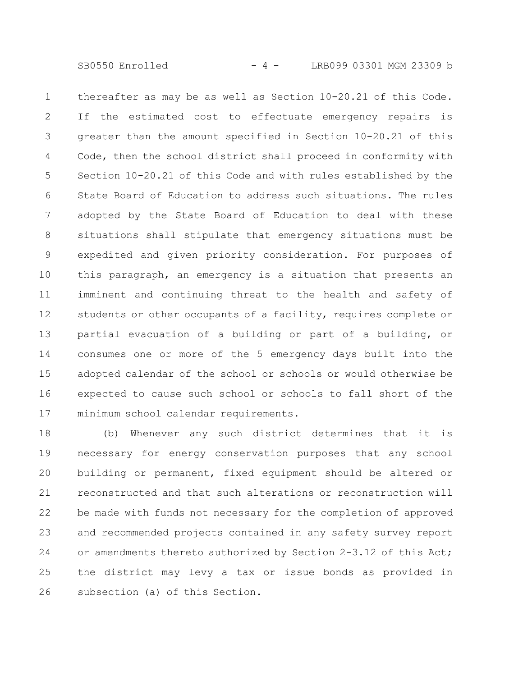SB0550 Enrolled - 4 - LRB099 03301 MGM 23309 b

thereafter as may be as well as Section 10-20.21 of this Code. If the estimated cost to effectuate emergency repairs is greater than the amount specified in Section 10-20.21 of this Code, then the school district shall proceed in conformity with Section 10-20.21 of this Code and with rules established by the State Board of Education to address such situations. The rules adopted by the State Board of Education to deal with these situations shall stipulate that emergency situations must be expedited and given priority consideration. For purposes of this paragraph, an emergency is a situation that presents an imminent and continuing threat to the health and safety of students or other occupants of a facility, requires complete or partial evacuation of a building or part of a building, or consumes one or more of the 5 emergency days built into the adopted calendar of the school or schools or would otherwise be expected to cause such school or schools to fall short of the minimum school calendar requirements. 1 2 3 4 5 6 7 8 9 10 11 12 13 14 15 16 17

(b) Whenever any such district determines that it is necessary for energy conservation purposes that any school building or permanent, fixed equipment should be altered or reconstructed and that such alterations or reconstruction will be made with funds not necessary for the completion of approved and recommended projects contained in any safety survey report or amendments thereto authorized by Section 2-3.12 of this Act; the district may levy a tax or issue bonds as provided in subsection (a) of this Section. 18 19 20 21 22 23 24 25 26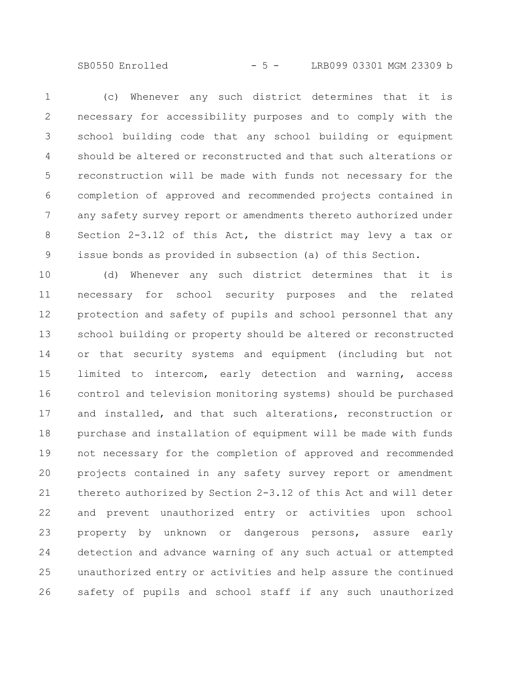SB0550 Enrolled - 5 - LRB099 03301 MGM 23309 b

(c) Whenever any such district determines that it is necessary for accessibility purposes and to comply with the school building code that any school building or equipment should be altered or reconstructed and that such alterations or reconstruction will be made with funds not necessary for the completion of approved and recommended projects contained in any safety survey report or amendments thereto authorized under Section 2-3.12 of this Act, the district may levy a tax or issue bonds as provided in subsection (a) of this Section. 1 2 3 4 5 6 7 8 9

(d) Whenever any such district determines that it is necessary for school security purposes and the related protection and safety of pupils and school personnel that any school building or property should be altered or reconstructed or that security systems and equipment (including but not limited to intercom, early detection and warning, access control and television monitoring systems) should be purchased and installed, and that such alterations, reconstruction or purchase and installation of equipment will be made with funds not necessary for the completion of approved and recommended projects contained in any safety survey report or amendment thereto authorized by Section 2-3.12 of this Act and will deter and prevent unauthorized entry or activities upon school property by unknown or dangerous persons, assure early detection and advance warning of any such actual or attempted unauthorized entry or activities and help assure the continued safety of pupils and school staff if any such unauthorized 10 11 12 13 14 15 16 17 18 19 20 21 22 23 24 25 26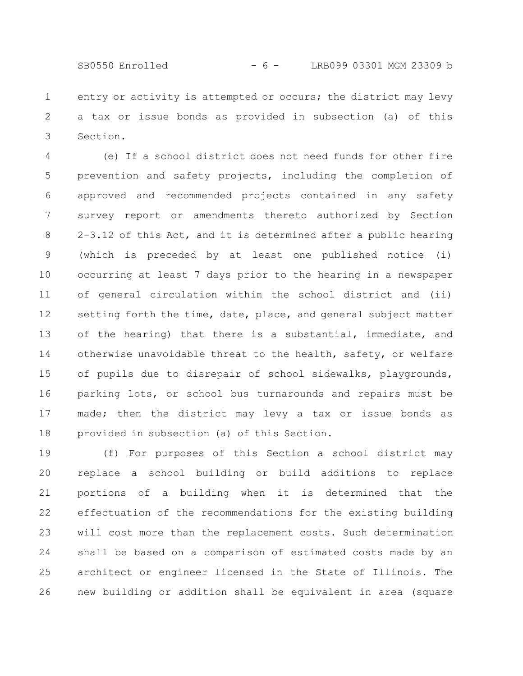SB0550 Enrolled - 6 - LRB099 03301 MGM 23309 b

entry or activity is attempted or occurs; the district may levy a tax or issue bonds as provided in subsection (a) of this Section. 1 2 3

(e) If a school district does not need funds for other fire prevention and safety projects, including the completion of approved and recommended projects contained in any safety survey report or amendments thereto authorized by Section 2-3.12 of this Act, and it is determined after a public hearing (which is preceded by at least one published notice (i) occurring at least 7 days prior to the hearing in a newspaper of general circulation within the school district and (ii) setting forth the time, date, place, and general subject matter of the hearing) that there is a substantial, immediate, and otherwise unavoidable threat to the health, safety, or welfare of pupils due to disrepair of school sidewalks, playgrounds, parking lots, or school bus turnarounds and repairs must be made; then the district may levy a tax or issue bonds as provided in subsection (a) of this Section. 4 5 6 7 8 9 10 11 12 13 14 15 16 17 18

(f) For purposes of this Section a school district may replace a school building or build additions to replace portions of a building when it is determined that the effectuation of the recommendations for the existing building will cost more than the replacement costs. Such determination shall be based on a comparison of estimated costs made by an architect or engineer licensed in the State of Illinois. The new building or addition shall be equivalent in area (square 19 20 21 22 23 24 25 26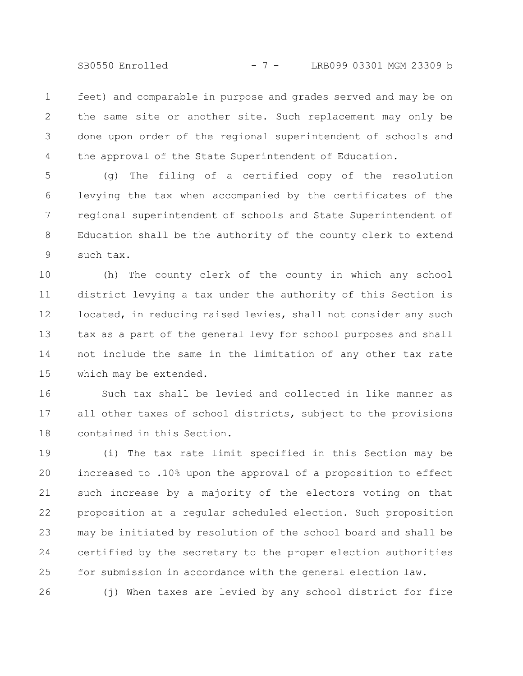SB0550 Enrolled - 7 - LRB099 03301 MGM 23309 b

feet) and comparable in purpose and grades served and may be on the same site or another site. Such replacement may only be done upon order of the regional superintendent of schools and the approval of the State Superintendent of Education. 1 2 3 4

(g) The filing of a certified copy of the resolution levying the tax when accompanied by the certificates of the regional superintendent of schools and State Superintendent of Education shall be the authority of the county clerk to extend such tax. 5 6 7 8 9

(h) The county clerk of the county in which any school district levying a tax under the authority of this Section is located, in reducing raised levies, shall not consider any such tax as a part of the general levy for school purposes and shall not include the same in the limitation of any other tax rate which may be extended. 10 11 12 13 14 15

Such tax shall be levied and collected in like manner as all other taxes of school districts, subject to the provisions contained in this Section. 16 17 18

(i) The tax rate limit specified in this Section may be increased to .10% upon the approval of a proposition to effect such increase by a majority of the electors voting on that proposition at a regular scheduled election. Such proposition may be initiated by resolution of the school board and shall be certified by the secretary to the proper election authorities for submission in accordance with the general election law. 19 20 21 22 23 24 25

(j) When taxes are levied by any school district for fire 26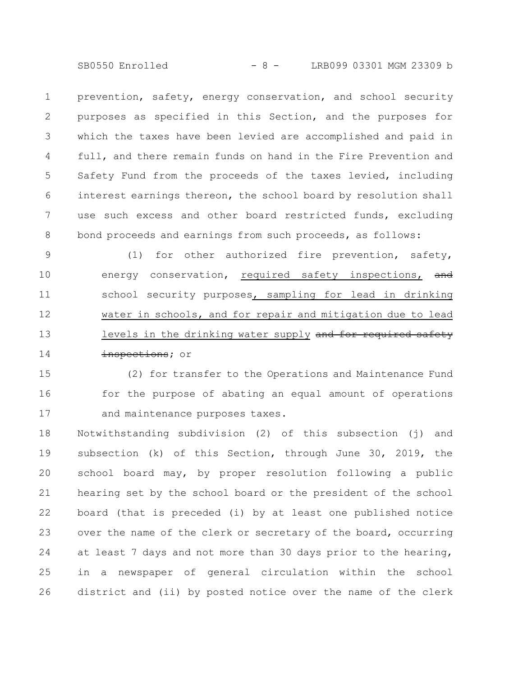SB0550 Enrolled - 8 - LRB099 03301 MGM 23309 b

prevention, safety, energy conservation, and school security purposes as specified in this Section, and the purposes for which the taxes have been levied are accomplished and paid in full, and there remain funds on hand in the Fire Prevention and Safety Fund from the proceeds of the taxes levied, including interest earnings thereon, the school board by resolution shall use such excess and other board restricted funds, excluding bond proceeds and earnings from such proceeds, as follows: 1 2 3 4 5 6 7 8

(1) for other authorized fire prevention, safety, energy conservation, required safety inspections, and school security purposes, sampling for lead in drinking water in schools, and for repair and mitigation due to lead levels in the drinking water supply and for required safety inspections; or 9 10 11 12 13 14

(2) for transfer to the Operations and Maintenance Fund for the purpose of abating an equal amount of operations and maintenance purposes taxes. 15 16 17

Notwithstanding subdivision (2) of this subsection (j) and subsection (k) of this Section, through June 30, 2019, the school board may, by proper resolution following a public hearing set by the school board or the president of the school board (that is preceded (i) by at least one published notice over the name of the clerk or secretary of the board, occurring at least 7 days and not more than 30 days prior to the hearing, in a newspaper of general circulation within the school district and (ii) by posted notice over the name of the clerk 18 19 20 21 22 23 24 25 26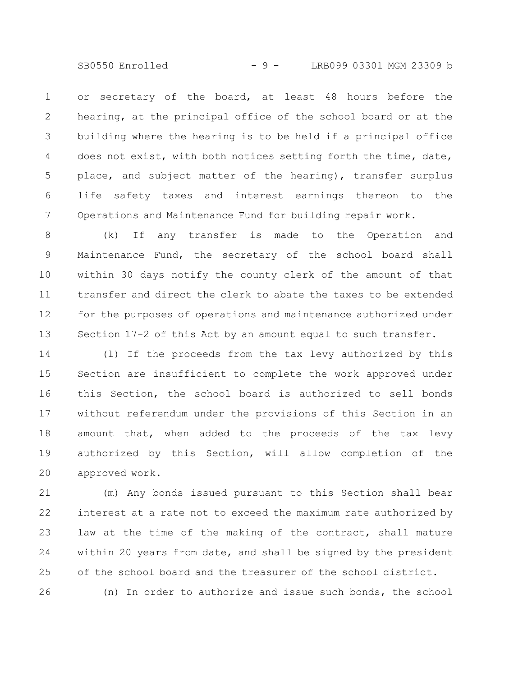SB0550 Enrolled - 9 - LRB099 03301 MGM 23309 b

or secretary of the board, at least 48 hours before the hearing, at the principal office of the school board or at the building where the hearing is to be held if a principal office does not exist, with both notices setting forth the time, date, place, and subject matter of the hearing), transfer surplus life safety taxes and interest earnings thereon to the Operations and Maintenance Fund for building repair work. 1 2 3 4 5 6 7

(k) If any transfer is made to the Operation and Maintenance Fund, the secretary of the school board shall within 30 days notify the county clerk of the amount of that transfer and direct the clerk to abate the taxes to be extended for the purposes of operations and maintenance authorized under Section 17-2 of this Act by an amount equal to such transfer. 8 9 10 11 12 13

(l) If the proceeds from the tax levy authorized by this Section are insufficient to complete the work approved under this Section, the school board is authorized to sell bonds without referendum under the provisions of this Section in an amount that, when added to the proceeds of the tax levy authorized by this Section, will allow completion of the approved work. 14 15 16 17 18 19 20

(m) Any bonds issued pursuant to this Section shall bear interest at a rate not to exceed the maximum rate authorized by law at the time of the making of the contract, shall mature within 20 years from date, and shall be signed by the president of the school board and the treasurer of the school district. 21 22 23 24 25

(n) In order to authorize and issue such bonds, the school

26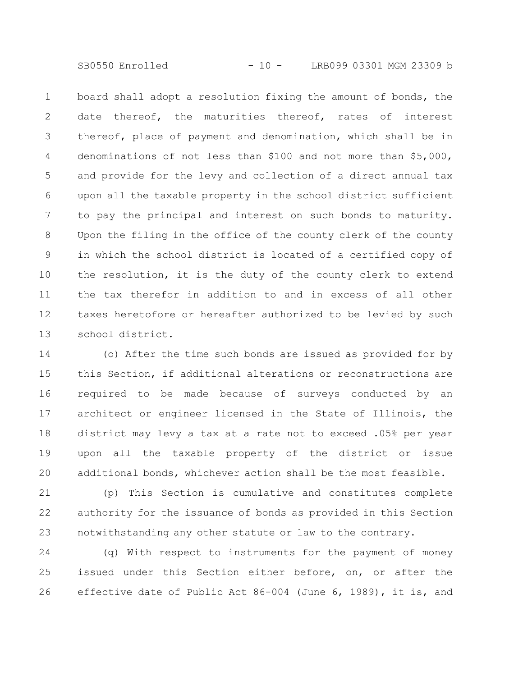SB0550 Enrolled - 10 - LRB099 03301 MGM 23309 b

board shall adopt a resolution fixing the amount of bonds, the date thereof, the maturities thereof, rates of interest thereof, place of payment and denomination, which shall be in denominations of not less than \$100 and not more than \$5,000, and provide for the levy and collection of a direct annual tax upon all the taxable property in the school district sufficient to pay the principal and interest on such bonds to maturity. Upon the filing in the office of the county clerk of the county in which the school district is located of a certified copy of the resolution, it is the duty of the county clerk to extend the tax therefor in addition to and in excess of all other taxes heretofore or hereafter authorized to be levied by such school district. 1 2 3 4 5 6 7 8 9 10 11 12 13

(o) After the time such bonds are issued as provided for by this Section, if additional alterations or reconstructions are required to be made because of surveys conducted by an architect or engineer licensed in the State of Illinois, the district may levy a tax at a rate not to exceed .05% per year upon all the taxable property of the district or issue additional bonds, whichever action shall be the most feasible. 14 15 16 17 18 19 20

(p) This Section is cumulative and constitutes complete authority for the issuance of bonds as provided in this Section notwithstanding any other statute or law to the contrary. 21 22 23

(q) With respect to instruments for the payment of money issued under this Section either before, on, or after the effective date of Public Act 86-004 (June 6, 1989), it is, and 24 25 26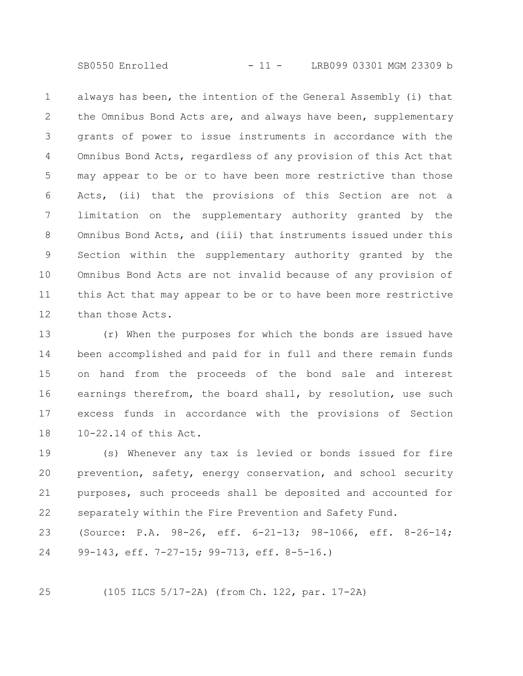SB0550 Enrolled - 11 - LRB099 03301 MGM 23309 b

always has been, the intention of the General Assembly (i) that the Omnibus Bond Acts are, and always have been, supplementary grants of power to issue instruments in accordance with the Omnibus Bond Acts, regardless of any provision of this Act that may appear to be or to have been more restrictive than those Acts, (ii) that the provisions of this Section are not a limitation on the supplementary authority granted by the Omnibus Bond Acts, and (iii) that instruments issued under this Section within the supplementary authority granted by the Omnibus Bond Acts are not invalid because of any provision of this Act that may appear to be or to have been more restrictive than those Acts. 1 2 3 4 5 6 7 8 9 10 11 12

(r) When the purposes for which the bonds are issued have been accomplished and paid for in full and there remain funds on hand from the proceeds of the bond sale and interest earnings therefrom, the board shall, by resolution, use such excess funds in accordance with the provisions of Section 10-22.14 of this Act. 13 14 15 16 17 18

(s) Whenever any tax is levied or bonds issued for fire prevention, safety, energy conservation, and school security purposes, such proceeds shall be deposited and accounted for separately within the Fire Prevention and Safety Fund. 19 20 21 22

(Source: P.A. 98-26, eff. 6-21-13; 98-1066, eff. 8-26-14; 99-143, eff. 7-27-15; 99-713, eff. 8-5-16.) 23 24

(105 ILCS 5/17-2A) (from Ch. 122, par. 17-2A)

25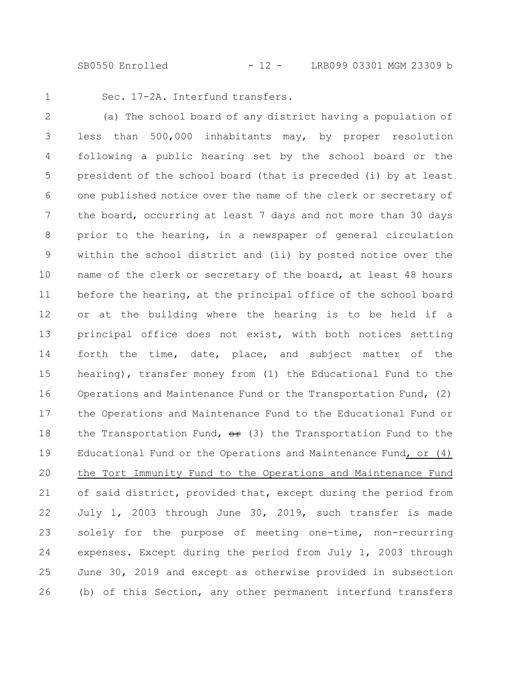SB0550 Enrolled - 12 - LRB099 03301 MGM 23309 b

1

Sec. 17-2A. Interfund transfers.

(a) The school board of any district having a population of less than 500,000 inhabitants may, by proper resolution following a public hearing set by the school board or the president of the school board (that is preceded (i) by at least one published notice over the name of the clerk or secretary of the board, occurring at least 7 days and not more than 30 days prior to the hearing, in a newspaper of general circulation within the school district and (ii) by posted notice over the name of the clerk or secretary of the board, at least 48 hours before the hearing, at the principal office of the school board or at the building where the hearing is to be held if a principal office does not exist, with both notices setting forth the time, date, place, and subject matter of the hearing), transfer money from (1) the Educational Fund to the Operations and Maintenance Fund or the Transportation Fund, (2) the Operations and Maintenance Fund to the Educational Fund or the Transportation Fund,  $\theta$  (3) the Transportation Fund to the Educational Fund or the Operations and Maintenance Fund, or (4) the Tort Immunity Fund to the Operations and Maintenance Fund of said district, provided that, except during the period from July 1, 2003 through June 30, 2019, such transfer is made solely for the purpose of meeting one-time, non-recurring expenses. Except during the period from July 1, 2003 through June 30, 2019 and except as otherwise provided in subsection (b) of this Section, any other permanent interfund transfers 2 3 4 5 6 7 8 9 10 11 12 13 14 15 16 17 18 19 20 21 22 23 24 25 26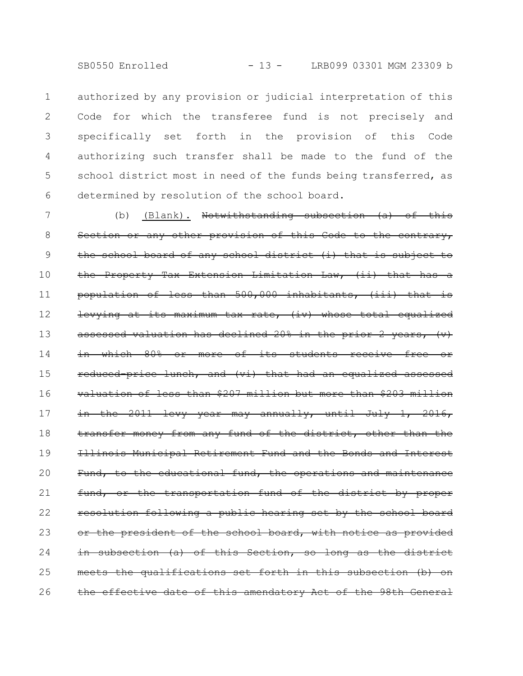SB0550 Enrolled - 13 - LRB099 03301 MGM 23309 b

authorized by any provision or judicial interpretation of this Code for which the transferee fund is not precisely and specifically set forth in the provision of this Code authorizing such transfer shall be made to the fund of the school district most in need of the funds being transferred, as determined by resolution of the school board. 1 2 3 4 5 6

(b) (Blank). Notwithstanding subsection  $(a)$  of this Section or any other provision of this Code to the contrary, the school board of any school district (i) that is subject to the Property Tax Extension Limitation Law, (ii) that has a population of less than 500,000 inhabitants, (iii) that is levying at its maximum tax rate, (iv) whose total equalized assessed valuation has declined 20% in the prior 2 years, (v) in which 80% or more of its students receive free reduced-price lunch, and (vi) that had an equalized assessed valuation of less than \$207 million but more than \$203 million in the 2011 levy year may annually, until July 1, 2016, transfer money from any fund of the district, other than the Illinois Municipal Retirement Fund and the Bonds and Interest Fund, to the educational fund, the operations and maintenance fund, or the transportation fund of the district by proper resolution following a public hearing set by the school board or the president of the school board, with notice as provided in subsection (a) of this Section, so long as the district meets the qualifications set forth in this subsection (b) the effective date of this amendatory Act of the 98th General 7 8 9 10 11 12 13 14 15 16 17 18 19 20 21 22 23 24 25 26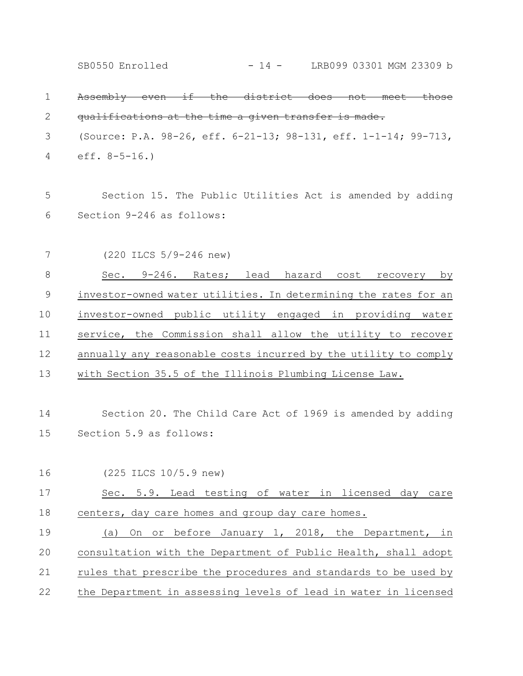Assembly even if the district does not meet those qualifications at the time a given transfer is made. (Source: P.A. 98-26, eff. 6-21-13; 98-131, eff. 1-1-14; 99-713, eff. 8-5-16.) Section 15. The Public Utilities Act is amended by adding Section 9-246 as follows: (220 ILCS 5/9-246 new) Sec. 9-246. Rates; lead hazard cost recovery by investor-owned water utilities. In determining the rates for an investor-owned public utility engaged in providing water service, the Commission shall allow the utility to recover annually any reasonable costs incurred by the utility to comply with Section 35.5 of the Illinois Plumbing License Law. Section 20. The Child Care Act of 1969 is amended by adding Section 5.9 as follows: (225 ILCS 10/5.9 new) Sec. 5.9. Lead testing of water in licensed day care centers, day care homes and group day care homes. (a) On or before January 1, 2018, the Department, in consultation with the Department of Public Health, shall adopt rules that prescribe the procedures and standards to be used by the Department in assessing levels of lead in water in licensed 1 2 3 4 5 6 7 8 9 10 11 12 13 14 15 16 17 18 19 20 21 22 SB0550 Enrolled - 14 - LRB099 03301 MGM 23309 b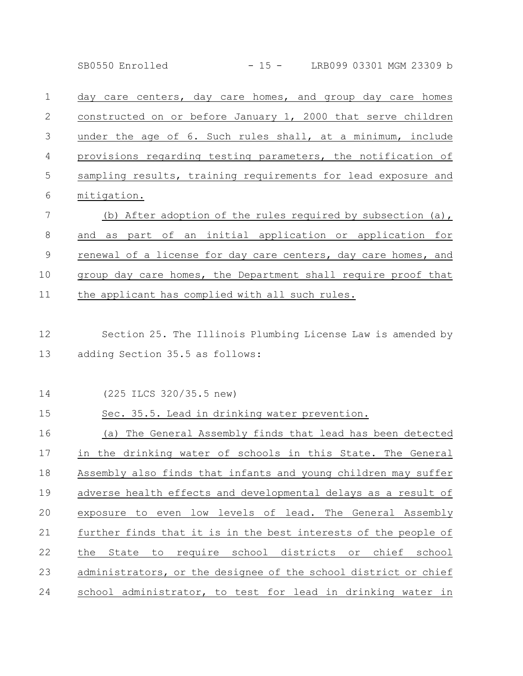SB0550 Enrolled - 15 - LRB099 03301 MGM 23309 b

day care centers, day care homes, and group day care homes constructed on or before January 1, 2000 that serve children under the age of 6. Such rules shall, at a minimum, include provisions regarding testing parameters, the notification of sampling results, training requirements for lead exposure and mitigation. 1 2 3 4 5 6

(b) After adoption of the rules required by subsection (a), and as part of an initial application or application for renewal of a license for day care centers, day care homes, and group day care homes, the Department shall require proof that the applicant has complied with all such rules. 7 8 9 10 11

Section 25. The Illinois Plumbing License Law is amended by adding Section 35.5 as follows: 12 13

Sec. 35.5. Lead in drinking water prevention.

(225 ILCS 320/35.5 new) 14

15

## (a) The General Assembly finds that lead has been detected in the drinking water of schools in this State. The General Assembly also finds that infants and young children may suffer adverse health effects and developmental delays as a result of exposure to even low levels of lead. The General Assembly further finds that it is in the best interests of the people of the State to require school districts or chief school administrators, or the designee of the school district or chief school administrator, to test for lead in drinking water in 16 17 18 19 20 21 22 23 24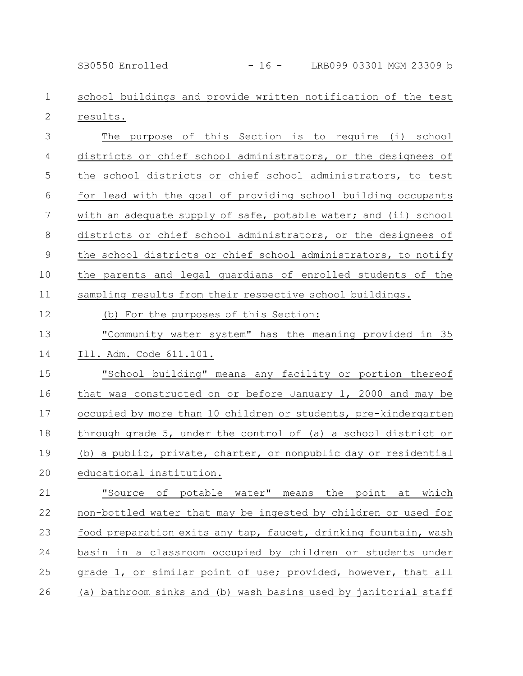SB0550 Enrolled - 16 - LRB099 03301 MGM 23309 b

school buildings and provide written notification of the test results. 1 2

The purpose of this Section is to require (i) school districts or chief school administrators, or the designees of the school districts or chief school administrators, to test for lead with the goal of providing school building occupants with an adequate supply of safe, potable water; and (ii) school districts or chief school administrators, or the designees of the school districts or chief school administrators, to notify the parents and legal guardians of enrolled students of the sampling results from their respective school buildings. 3 4 5 6 7 8 9 10 11

(b) For the purposes of this Section: 12

"Community water system" has the meaning provided in 35 13

Ill. Adm. Code 611.101. 14

"School building" means any facility or portion thereof that was constructed on or before January 1, 2000 and may be occupied by more than 10 children or students, pre-kindergarten through grade 5, under the control of (a) a school district or (b) a public, private, charter, or nonpublic day or residential educational institution. 15 16 17 18 19 20

"Source of potable water" means the point at which non-bottled water that may be ingested by children or used for food preparation exits any tap, faucet, drinking fountain, wash basin in a classroom occupied by children or students under grade 1, or similar point of use; provided, however, that all (a) bathroom sinks and (b) wash basins used by janitorial staff 21 22 23 24 25 26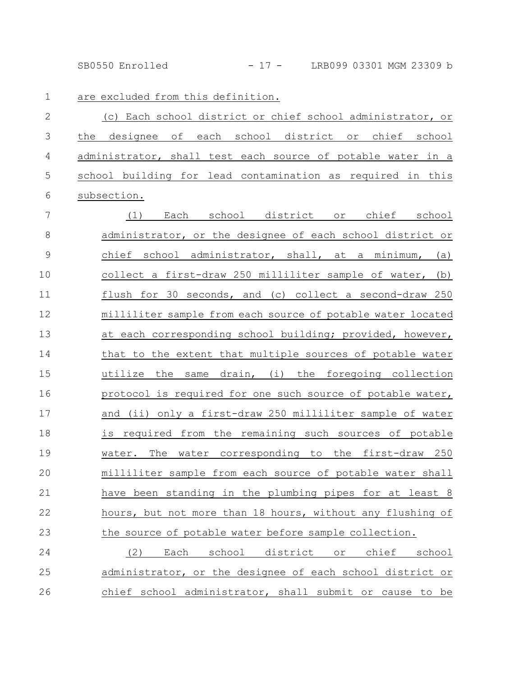SB0550 Enrolled - 17 - LRB099 03301 MGM 23309 b

1

are excluded from this definition.

(c) Each school district or chief school administrator, or the designee of each school district or chief school administrator, shall test each source of potable water in a school building for lead contamination as required in this subsection. 2 3 4 5 6

(1) Each school district or chief school administrator, or the designee of each school district or chief school administrator, shall, at a minimum, (a) collect a first-draw 250 milliliter sample of water, (b) flush for 30 seconds, and (c) collect a second-draw 250 milliliter sample from each source of potable water located at each corresponding school building; provided, however, that to the extent that multiple sources of potable water utilize the same drain, (i) the foregoing collection protocol is required for one such source of potable water, and (ii) only a first-draw 250 milliliter sample of water is required from the remaining such sources of potable water. The water corresponding to the first-draw 250 milliliter sample from each source of potable water shall have been standing in the plumbing pipes for at least 8 hours, but not more than 18 hours, without any flushing of the source of potable water before sample collection. (2) Each school district or chief school 7 8 9 10 11 12 13 14 15 16 17 18 19 20 21 22 23 24

administrator, or the designee of each school district or chief school administrator, shall submit or cause to be 25 26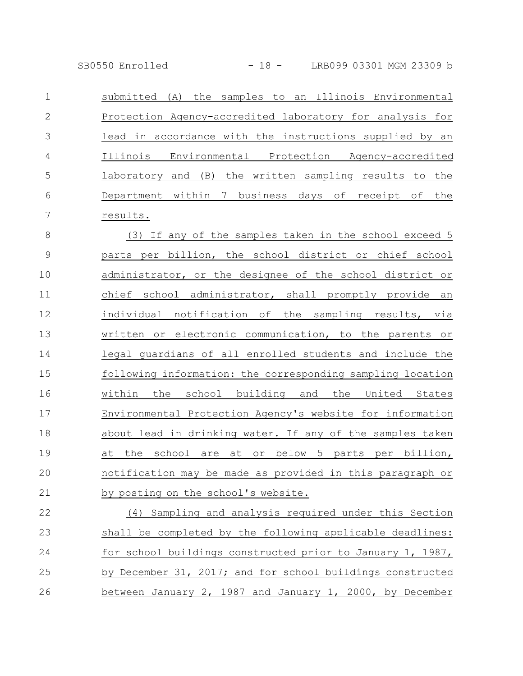SB0550 Enrolled - 18 - LRB099 03301 MGM 23309 b

| 1              | submitted (A) the samples to an Illinois Environmental     |
|----------------|------------------------------------------------------------|
| $\mathbf{2}$   | Protection Agency-accredited laboratory for analysis for   |
| 3              | lead in accordance with the instructions supplied by an    |
| $\overline{4}$ | Illinois Environmental Protection Agency-accredited        |
| 5              | laboratory and (B) the written sampling results to the     |
| 6              | Department within 7 business days of receipt of the        |
| 7              | results.                                                   |
| $\,8\,$        | (3) If any of the samples taken in the school exceed 5     |
| $\mathcal{G}$  | parts per billion, the school district or chief school     |
| 10             | administrator, or the designee of the school district or   |
| 11             | chief school administrator, shall promptly provide an      |
| 12             | individual notification of the sampling results, via       |
| 13             | written or electronic communication, to the parents or     |
| 14             | legal guardians of all enrolled students and include the   |
| 15             | following information: the corresponding sampling location |
| 16             | within the school building and the United States           |
| 17             | Environmental Protection Agency's website for information  |
| 18             | about lead in drinking water. If any of the samples taken  |
| 19             | at the school are at or below 5 parts per billion,         |
| 20             | notification may be made as provided in this paragraph or  |
| 21             | by posting on the school's website.                        |
| 22             | (4) Sampling and analysis required under this Section      |
| 23             | shall be completed by the following applicable deadlines:  |
| 24             | for school buildings constructed prior to January 1, 1987, |

25 by December 31, 2017; and for school buildings constructed between January 2, 1987 and January 1, 2000, by December 26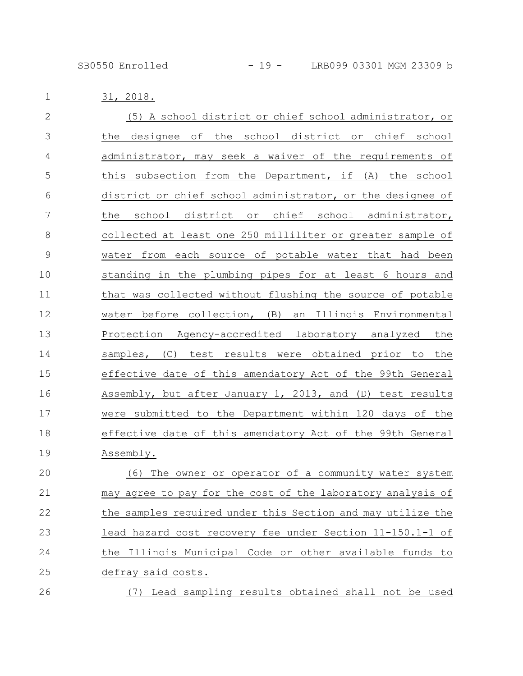31, 2018. 1

| $\overline{2}$ | (5) A school district or chief school administrator, or     |
|----------------|-------------------------------------------------------------|
| 3              | the designee of the school district or chief school         |
| 4              | administrator, may seek a waiver of the requirements of     |
| 5              | this subsection from the Department, if (A) the school      |
| 6              | district or chief school administrator, or the designee of  |
| 7              | the school district or chief school administrator,          |
| $\,8\,$        | collected at least one 250 milliliter or greater sample of  |
| $\mathsf 9$    | water from each source of potable water that had been       |
| 10             | standing in the plumbing pipes for at least 6 hours and     |
| 11             | that was collected without flushing the source of potable   |
| 12             | water before collection, (B) an Illinois Environmental      |
| 13             | Protection Agency-accredited laboratory analyzed the        |
| 14             | samples, (C) test results were obtained prior to the        |
| 15             | effective date of this amendatory Act of the 99th General   |
| 16             | Assembly, but after January 1, 2013, and (D) test results   |
| 17             | were submitted to the Department within 120 days of the     |
| 18             | effective date of this amendatory Act of the 99th General   |
| 19             | Assembly.                                                   |
| 20             | The owner or operator of a community water system<br>(6)    |
| 21             | may agree to pay for the cost of the laboratory analysis of |
| 22             | the samples required under this Section and may utilize the |
| 23             | lead hazard cost recovery fee under Section 11-150.1-1 of   |
| 24             | the Illinois Municipal Code or other available funds to     |
| 25             | defray said costs.                                          |
| 26             | (7) Lead sampling results obtained shall not be used        |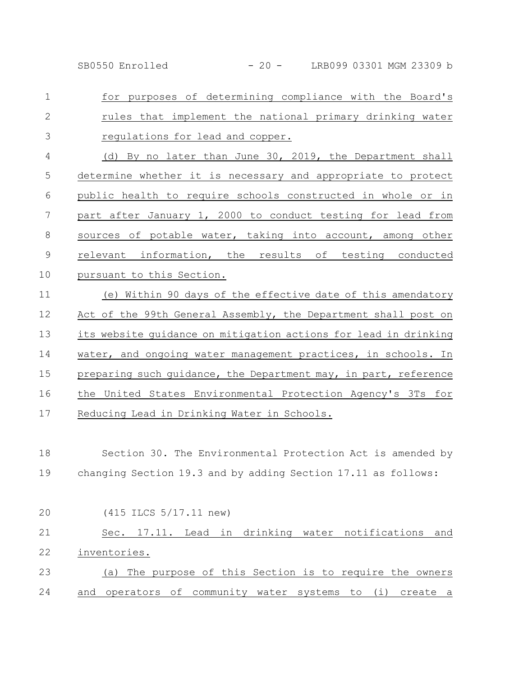SB0550 Enrolled - 20 - LRB099 03301 MGM 23309 b

for purposes of determining compliance with the Board's rules that implement the national primary drinking water regulations for lead and copper. 1 2 3

(d) By no later than June 30, 2019, the Department shall determine whether it is necessary and appropriate to protect public health to require schools constructed in whole or in part after January 1, 2000 to conduct testing for lead from sources of potable water, taking into account, among other relevant information, the results of testing conducted pursuant to this Section. 4 5 6 7 8 9 10

(e) Within 90 days of the effective date of this amendatory Act of the 99th General Assembly, the Department shall post on its website guidance on mitigation actions for lead in drinking water, and ongoing water management practices, in schools. In preparing such quidance, the Department may, in part, reference the United States Environmental Protection Agency's 3Ts for Reducing Lead in Drinking Water in Schools. 11 12 13 14 15 16 17

Section 30. The Environmental Protection Act is amended by changing Section 19.3 and by adding Section 17.11 as follows: 18 19

| 20 | $(415$ ILCS $5/17.11$ new)                               |
|----|----------------------------------------------------------|
| 21 | Sec. 17.11. Lead in drinking water notifications and     |
| 22 | inventories.                                             |
| 23 | (a) The purpose of this Section is to require the owners |
| 24 | and operators of community water systems to (i) create a |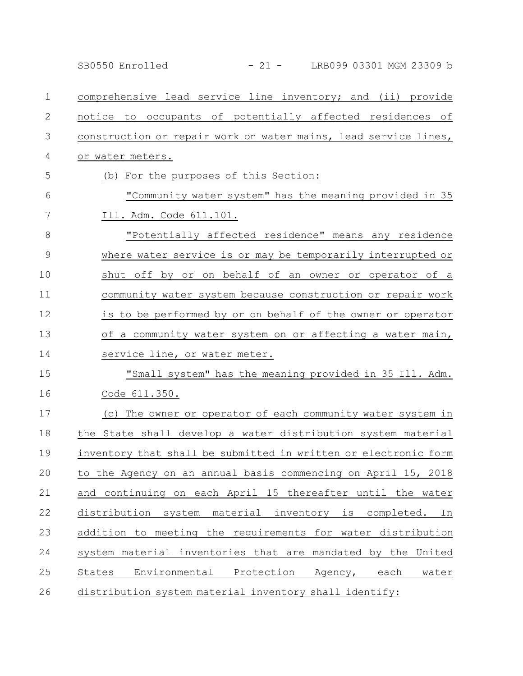|    | - 21 - LRB099 03301 MGM 23309 b<br>SB0550 Enrolled              |
|----|-----------------------------------------------------------------|
| 1  | comprehensive lead service line inventory; and (ii) provide     |
| 2  | notice to occupants of potentially affected residences of       |
| 3  | construction or repair work on water mains, lead service lines, |
| 4  | or water meters.                                                |
| 5  | (b) For the purposes of this Section:                           |
| 6  | "Community water system" has the meaning provided in 35         |
| 7  | Ill. Adm. Code 611.101.                                         |
| 8  | "Potentially affected residence" means any residence            |
| 9  | where water service is or may be temporarily interrupted or     |
| 10 | shut off by or on behalf of an owner or operator of a           |
| 11 | community water system because construction or repair work      |
| 12 | is to be performed by or on behalf of the owner or operator     |
| 13 | of a community water system on or affecting a water main,       |
| 14 | service line, or water meter.                                   |
| 15 | "Small system" has the meaning provided in 35 Ill. Adm.         |
| 16 | Code 611.350.                                                   |
| 17 | (c) The owner or operator of each community water system in     |
| 18 | the State shall develop a water distribution system material    |
| 19 | inventory that shall be submitted in written or electronic form |
| 20 | to the Agency on an annual basis commencing on April 15, 2018   |
| 21 | and continuing on each April 15 thereafter until the water      |
| 22 | distribution system material inventory is completed. In         |
| 23 | addition to meeting the requirements for water distribution     |
| 24 | system material inventories that are mandated by the United     |
| 25 | States<br>Environmental Protection Agency, each water           |
| 26 | distribution system material inventory shall identify:          |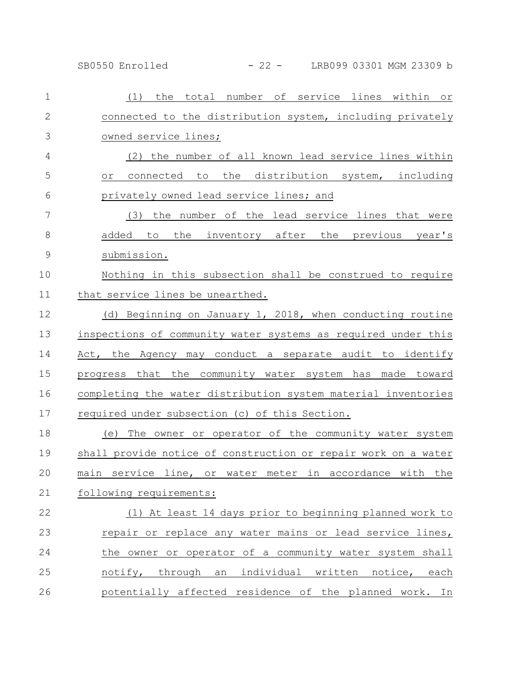SB0550 Enrolled - 22 - LRB099 03301 MGM 23309 b

| $\mathbf 1$   | (1) the total number of service lines within or                |
|---------------|----------------------------------------------------------------|
| $\mathbf{2}$  | connected to the distribution system, including privately      |
| 3             | owned service lines;                                           |
| 4             | (2) the number of all known lead service lines within          |
| 5             | connected to the distribution system, including<br>or          |
| 6             | privately owned lead service lines; and                        |
| 7             | (3) the number of the lead service lines that were             |
| 8             | added to the inventory after the previous year's               |
| $\mathcal{G}$ | submission.                                                    |
| 10            | Nothing in this subsection shall be construed to require       |
| 11            | that service lines be unearthed.                               |
| 12            | (d) Beginning on January 1, 2018, when conducting routine      |
| 13            | inspections of community water systems as required under this  |
| 14            | Act, the Agency may conduct a separate audit to identify       |
| 15            | progress that the community water system has made toward       |
| 16            | completing the water distribution system material inventories  |
| 17            | required under subsection (c) of this Section.                 |
| 18            | (e) The owner or operator of the community water system        |
| 19            | shall provide notice of construction or repair work on a water |
| 20            | main service line, or water meter in accordance with the       |
| 21            | following requirements:                                        |
| 22            | (1) At least 14 days prior to beginning planned work to        |
| 23            | repair or replace any water mains or lead service lines,       |
| 24            | the owner or operator of a community water system shall        |
| 25            | notify, through an individual written notice, each             |
| 26            | potentially affected residence of the planned work. In         |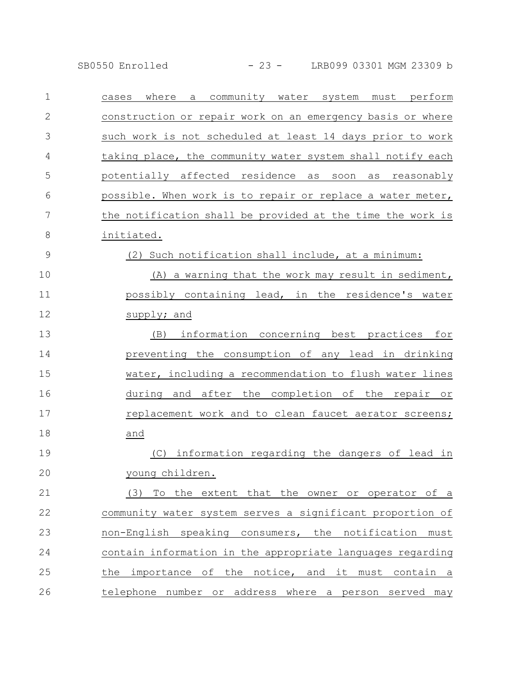SB0550 Enrolled - 23 - LRB099 03301 MGM 23309 b

| $\mathbf 1$   | where a community water system must perform<br>cases       |
|---------------|------------------------------------------------------------|
| $\mathbf{2}$  | construction or repair work on an emergency basis or where |
| 3             | such work is not scheduled at least 14 days prior to work  |
| 4             | taking place, the community water system shall notify each |
| 5             | potentially affected residence as soon as reasonably       |
| 6             | possible. When work is to repair or replace a water meter, |
| 7             | the notification shall be provided at the time the work is |
| $\,8\,$       | initiated.                                                 |
| $\mathcal{G}$ | (2) Such notification shall include, at a minimum:         |
| 10            | (A) a warning that the work may result in sediment,        |
| 11            | possibly containing lead, in the residence's water         |
| 12            | supply; and                                                |
| 13            | information concerning best practices for<br>(B)           |
| 14            | preventing the consumption of any lead in drinking         |
| 15            | water, including a recommendation to flush water lines     |
| 16            | during and after the completion of the repair or           |
| 17            | replacement work and to clean faucet aerator screens;      |
| 18            | and                                                        |
| 19            | (C) information regarding the dangers of lead in           |
| $20$          | young children.                                            |
| 21            | To the extent that the owner or operator of a<br>(3)       |
| 22            | community water system serves a significant proportion of  |
| 23            | non-English speaking consumers, the notification must      |
| 24            | contain information in the appropriate languages regarding |
| 25            | the importance of the notice, and it must contain a        |
| 26            | telephone number or address where a person served may      |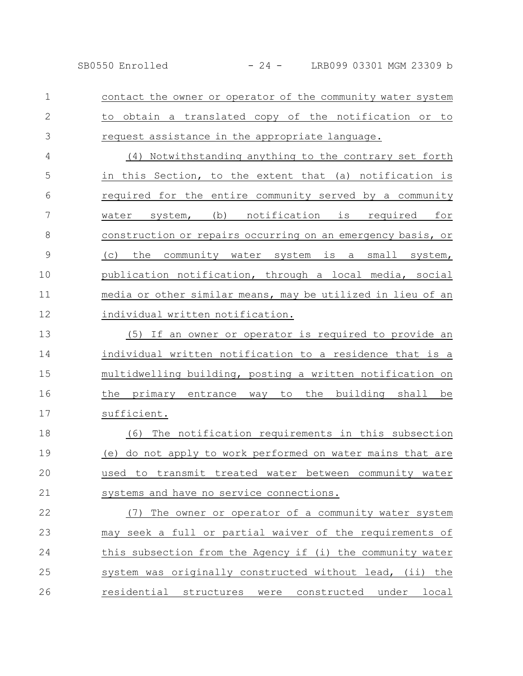contact the owner or operator of the community water system to obtain a translated copy of the notification or to request assistance in the appropriate language. 1 2 3

(4) Notwithstanding anything to the contrary set forth in this Section, to the extent that (a) notification is required for the entire community served by a community water system, (b) notification is required for construction or repairs occurring on an emergency basis, or (c) the community water system is a small system, publication notification, through a local media, social media or other similar means, may be utilized in lieu of an individual written notification. 4 5 6 7 8 9 10 11 12

(5) If an owner or operator is required to provide an individual written notification to a residence that is a multidwelling building, posting a written notification on the primary entrance way to the building shall be sufficient. 13 14 15 16 17

(6) The notification requirements in this subsection (e) do not apply to work performed on water mains that are used to transmit treated water between community water systems and have no service connections. 18 19 20 21

(7) The owner or operator of a community water system may seek a full or partial waiver of the requirements of this subsection from the Agency if (i) the community water system was originally constructed without lead, (ii) the residential structures were constructed under local 22 23 24 25 26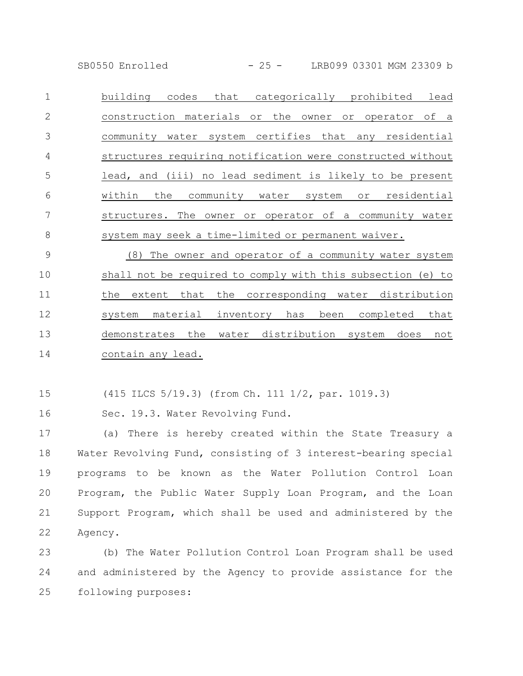SB0550 Enrolled - 25 - LRB099 03301 MGM 23309 b

building codes that categorically prohibited lead construction materials or the owner or operator of a community water system certifies that any residential structures requiring notification were constructed without lead, and (iii) no lead sediment is likely to be present within the community water system or residential structures. The owner or operator of a community water system may seek a time-limited or permanent waiver. 1 2 3 4 5 6 7 8

(8) The owner and operator of a community water system shall not be required to comply with this subsection (e) to the extent that the corresponding water distribution system material inventory has been completed that demonstrates the water distribution system does not contain any lead. 9 10 11 12 13 14

(415 ILCS 5/19.3) (from Ch. 111 1/2, par. 1019.3) 15

Sec. 19.3. Water Revolving Fund. 16

(a) There is hereby created within the State Treasury a Water Revolving Fund, consisting of 3 interest-bearing special programs to be known as the Water Pollution Control Loan Program, the Public Water Supply Loan Program, and the Loan Support Program, which shall be used and administered by the Agency. 17 18 19 20 21 22

(b) The Water Pollution Control Loan Program shall be used and administered by the Agency to provide assistance for the following purposes: 23 24 25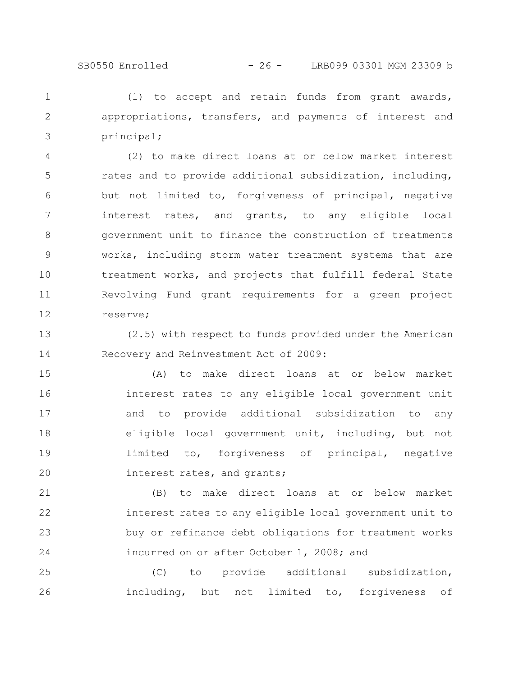## SB0550 Enrolled - 26 - LRB099 03301 MGM 23309 b

(1) to accept and retain funds from grant awards, appropriations, transfers, and payments of interest and principal; 1 2 3

(2) to make direct loans at or below market interest rates and to provide additional subsidization, including, but not limited to, forgiveness of principal, negative interest rates, and grants, to any eligible local government unit to finance the construction of treatments works, including storm water treatment systems that are treatment works, and projects that fulfill federal State Revolving Fund grant requirements for a green project reserve; 4 5 6 7 8 9 10 11 12

(2.5) with respect to funds provided under the American Recovery and Reinvestment Act of 2009: 13 14

(A) to make direct loans at or below market interest rates to any eligible local government unit and to provide additional subsidization to any eligible local government unit, including, but not limited to, forgiveness of principal, negative interest rates, and grants; 15 16 17 18 19 20

(B) to make direct loans at or below market interest rates to any eligible local government unit to buy or refinance debt obligations for treatment works incurred on or after October 1, 2008; and 21 22 23 24

(C) to provide additional subsidization, including, but not limited to, forgiveness of 25 26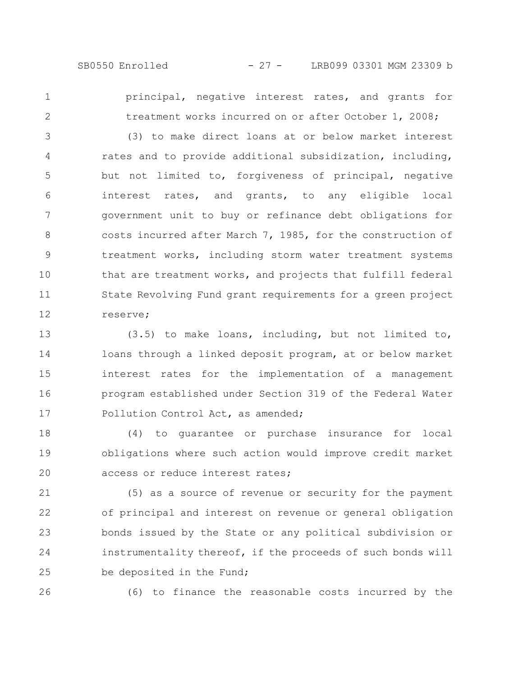1

2

principal, negative interest rates, and grants for treatment works incurred on or after October 1, 2008;

(3) to make direct loans at or below market interest rates and to provide additional subsidization, including, but not limited to, forgiveness of principal, negative interest rates, and grants, to any eligible local government unit to buy or refinance debt obligations for costs incurred after March 7, 1985, for the construction of treatment works, including storm water treatment systems that are treatment works, and projects that fulfill federal State Revolving Fund grant requirements for a green project reserve; 3 4 5 6 7 8 9 10 11 12

(3.5) to make loans, including, but not limited to, loans through a linked deposit program, at or below market interest rates for the implementation of a management program established under Section 319 of the Federal Water Pollution Control Act, as amended; 13 14 15 16 17

(4) to guarantee or purchase insurance for local obligations where such action would improve credit market access or reduce interest rates; 18 19 20

(5) as a source of revenue or security for the payment of principal and interest on revenue or general obligation bonds issued by the State or any political subdivision or instrumentality thereof, if the proceeds of such bonds will be deposited in the Fund; 21 22 23 24 25

26

(6) to finance the reasonable costs incurred by the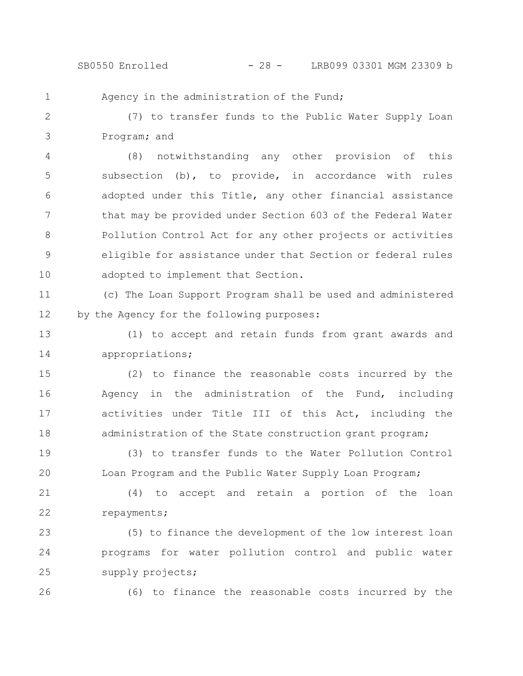$SB0550$  Enrolled  $-28 -$  LRB099 03301 MGM 23309 b

Agency in the administration of the Fund;

(7) to transfer funds to the Public Water Supply Loan Program; and 2 3

(8) notwithstanding any other provision of this subsection (b), to provide, in accordance with rules adopted under this Title, any other financial assistance that may be provided under Section 603 of the Federal Water Pollution Control Act for any other projects or activities eligible for assistance under that Section or federal rules adopted to implement that Section. 4 5 6 7 8 9 10

(c) The Loan Support Program shall be used and administered by the Agency for the following purposes: 11 12

(1) to accept and retain funds from grant awards and appropriations; 13 14

(2) to finance the reasonable costs incurred by the Agency in the administration of the Fund, including activities under Title III of this Act, including the administration of the State construction grant program; 15 16 17 18

(3) to transfer funds to the Water Pollution Control Loan Program and the Public Water Supply Loan Program; 19 20

(4) to accept and retain a portion of the loan repayments; 21 22

(5) to finance the development of the low interest loan programs for water pollution control and public water supply projects; 23 24 25

26

1

(6) to finance the reasonable costs incurred by the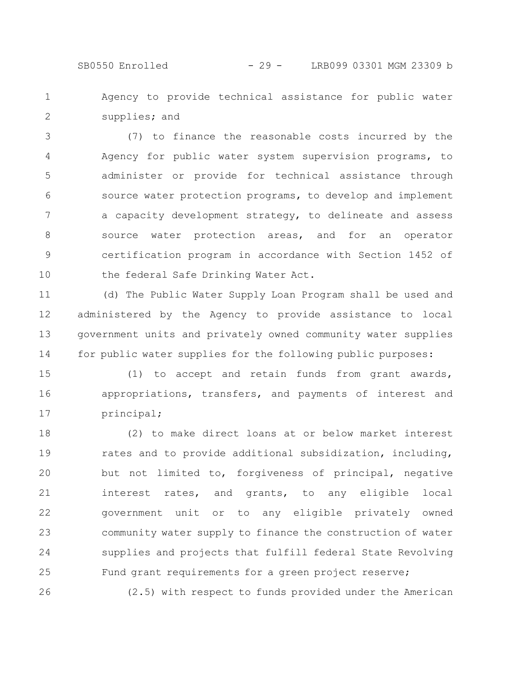SB0550 Enrolled - 29 - LRB099 03301 MGM 23309 b

Agency to provide technical assistance for public water supplies; and 1 2

(7) to finance the reasonable costs incurred by the Agency for public water system supervision programs, to administer or provide for technical assistance through source water protection programs, to develop and implement a capacity development strategy, to delineate and assess source water protection areas, and for an operator certification program in accordance with Section 1452 of the federal Safe Drinking Water Act. 3 4 5 6 7 8 9 10

(d) The Public Water Supply Loan Program shall be used and administered by the Agency to provide assistance to local government units and privately owned community water supplies for public water supplies for the following public purposes: 11 12 13 14

(1) to accept and retain funds from grant awards, appropriations, transfers, and payments of interest and principal; 15 16 17

(2) to make direct loans at or below market interest rates and to provide additional subsidization, including, but not limited to, forgiveness of principal, negative interest rates, and grants, to any eligible local government unit or to any eligible privately owned community water supply to finance the construction of water supplies and projects that fulfill federal State Revolving Fund grant requirements for a green project reserve; 18 19 20 21 22 23 24 25

(2.5) with respect to funds provided under the American

26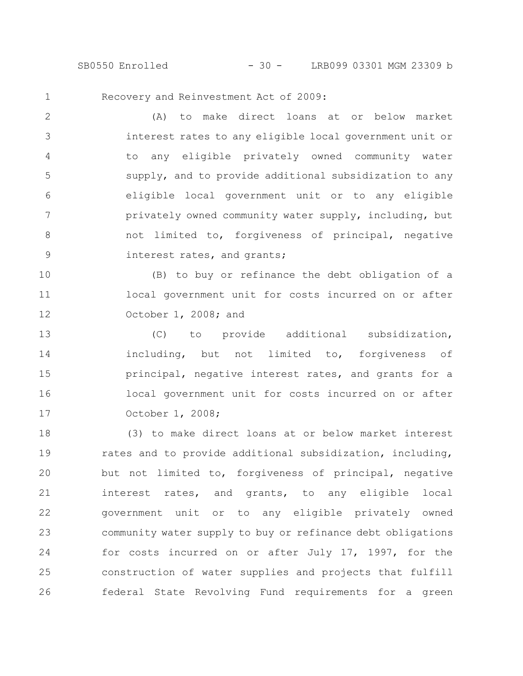SB0550 Enrolled - 30 - LRB099 03301 MGM 23309 b

1

Recovery and Reinvestment Act of 2009:

(A) to make direct loans at or below market interest rates to any eligible local government unit or to any eligible privately owned community water supply, and to provide additional subsidization to any eligible local government unit or to any eligible privately owned community water supply, including, but not limited to, forgiveness of principal, negative interest rates, and grants; 2 3 4 5 6 7 8 9

(B) to buy or refinance the debt obligation of a local government unit for costs incurred on or after October 1, 2008; and 10 11 12

(C) to provide additional subsidization, including, but not limited to, forgiveness of principal, negative interest rates, and grants for a local government unit for costs incurred on or after October 1, 2008; 13 14 15 16 17

(3) to make direct loans at or below market interest rates and to provide additional subsidization, including, but not limited to, forgiveness of principal, negative interest rates, and grants, to any eligible local government unit or to any eligible privately owned community water supply to buy or refinance debt obligations for costs incurred on or after July 17, 1997, for the construction of water supplies and projects that fulfill federal State Revolving Fund requirements for a green 18 19 20 21 22 23 24 25 26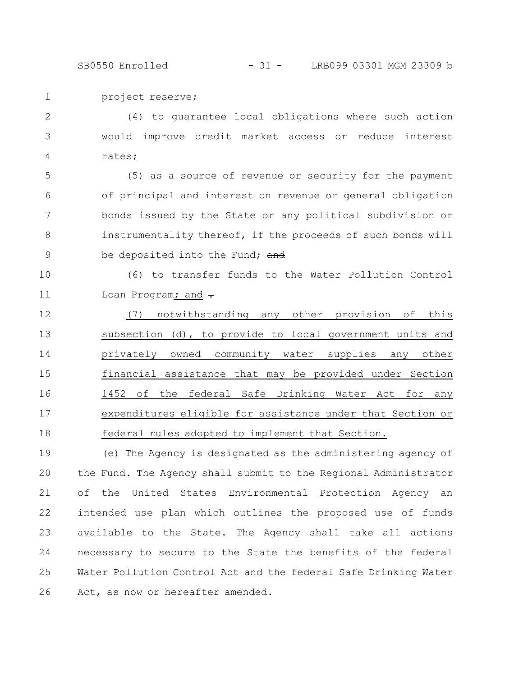project reserve; 1

(4) to guarantee local obligations where such action would improve credit market access or reduce interest rates; 2 3 4

(5) as a source of revenue or security for the payment of principal and interest on revenue or general obligation bonds issued by the State or any political subdivision or instrumentality thereof, if the proceeds of such bonds will be deposited into the Fund; and 5 6 7 8 9

(6) to transfer funds to the Water Pollution Control Loan Program; and  $\div$ 10 11

(7) notwithstanding any other provision of this subsection (d), to provide to local government units and privately owned community water supplies any other financial assistance that may be provided under Section 1452 of the federal Safe Drinking Water Act for any expenditures eligible for assistance under that Section or federal rules adopted to implement that Section. 12 13 14 15 16 17 18

(e) The Agency is designated as the administering agency of the Fund. The Agency shall submit to the Regional Administrator of the United States Environmental Protection Agency an intended use plan which outlines the proposed use of funds available to the State. The Agency shall take all actions necessary to secure to the State the benefits of the federal Water Pollution Control Act and the federal Safe Drinking Water Act, as now or hereafter amended. 19 20 21 22 23 24 25 26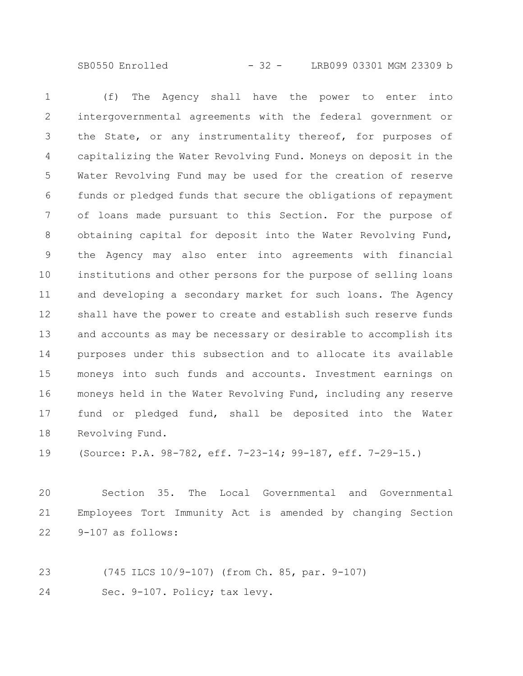SB0550 Enrolled - 32 - LRB099 03301 MGM 23309 b

(f) The Agency shall have the power to enter into intergovernmental agreements with the federal government or the State, or any instrumentality thereof, for purposes of capitalizing the Water Revolving Fund. Moneys on deposit in the Water Revolving Fund may be used for the creation of reserve funds or pledged funds that secure the obligations of repayment of loans made pursuant to this Section. For the purpose of obtaining capital for deposit into the Water Revolving Fund, the Agency may also enter into agreements with financial institutions and other persons for the purpose of selling loans and developing a secondary market for such loans. The Agency shall have the power to create and establish such reserve funds and accounts as may be necessary or desirable to accomplish its purposes under this subsection and to allocate its available moneys into such funds and accounts. Investment earnings on moneys held in the Water Revolving Fund, including any reserve fund or pledged fund, shall be deposited into the Water Revolving Fund. 1 2 3 4 5 6 7 8 9 10 11 12 13 14 15 16 17 18

(Source: P.A. 98-782, eff. 7-23-14; 99-187, eff. 7-29-15.) 19

Section 35. The Local Governmental and Governmental Employees Tort Immunity Act is amended by changing Section 9-107 as follows: 20 21 22

(745 ILCS 10/9-107) (from Ch. 85, par. 9-107) Sec. 9-107. Policy; tax levy. 23 24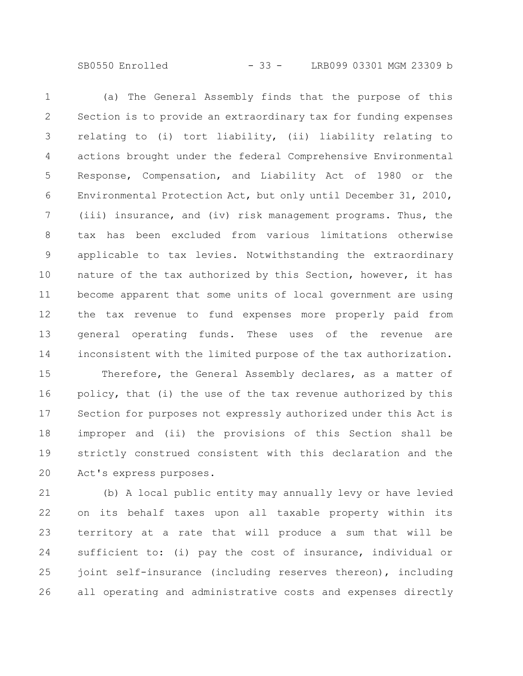SB0550 Enrolled - 33 - LRB099 03301 MGM 23309 b

(a) The General Assembly finds that the purpose of this Section is to provide an extraordinary tax for funding expenses relating to (i) tort liability, (ii) liability relating to actions brought under the federal Comprehensive Environmental Response, Compensation, and Liability Act of 1980 or the Environmental Protection Act, but only until December 31, 2010, (iii) insurance, and (iv) risk management programs. Thus, the tax has been excluded from various limitations otherwise applicable to tax levies. Notwithstanding the extraordinary nature of the tax authorized by this Section, however, it has become apparent that some units of local government are using the tax revenue to fund expenses more properly paid from general operating funds. These uses of the revenue are inconsistent with the limited purpose of the tax authorization. 1 2 3 4 5 6 7 8 9 10 11 12 13 14

Therefore, the General Assembly declares, as a matter of policy, that (i) the use of the tax revenue authorized by this Section for purposes not expressly authorized under this Act is improper and (ii) the provisions of this Section shall be strictly construed consistent with this declaration and the Act's express purposes. 15 16 17 18 19 20

(b) A local public entity may annually levy or have levied on its behalf taxes upon all taxable property within its territory at a rate that will produce a sum that will be sufficient to: (i) pay the cost of insurance, individual or joint self-insurance (including reserves thereon), including all operating and administrative costs and expenses directly 21 22 23 24 25 26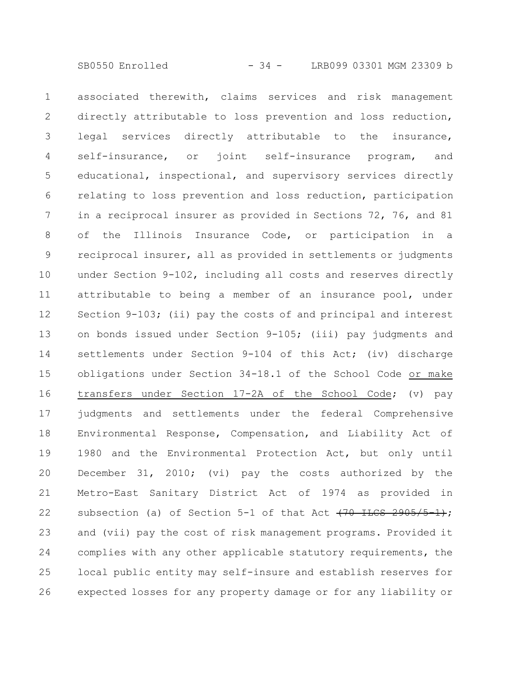associated therewith, claims services and risk management directly attributable to loss prevention and loss reduction, legal services directly attributable to the insurance, self-insurance, or joint self-insurance program, and educational, inspectional, and supervisory services directly relating to loss prevention and loss reduction, participation in a reciprocal insurer as provided in Sections 72, 76, and 81 of the Illinois Insurance Code, or participation in a reciprocal insurer, all as provided in settlements or judgments under Section 9-102, including all costs and reserves directly attributable to being a member of an insurance pool, under Section 9-103; (ii) pay the costs of and principal and interest on bonds issued under Section 9-105; (iii) pay judgments and settlements under Section 9-104 of this Act; (iv) discharge obligations under Section 34-18.1 of the School Code or make transfers under Section 17-2A of the School Code; (v) pay judgments and settlements under the federal Comprehensive Environmental Response, Compensation, and Liability Act of 1980 and the Environmental Protection Act, but only until December 31, 2010; (vi) pay the costs authorized by the Metro-East Sanitary District Act of 1974 as provided in subsection (a) of Section 5-1 of that Act  $(70$  ILCS  $2905/5-1)$ ; and (vii) pay the cost of risk management programs. Provided it complies with any other applicable statutory requirements, the local public entity may self-insure and establish reserves for expected losses for any property damage or for any liability or 1 2 3 4 5 6 7 8 9 10 11 12 13 14 15 16 17 18 19 20 21 22 23 24 25 26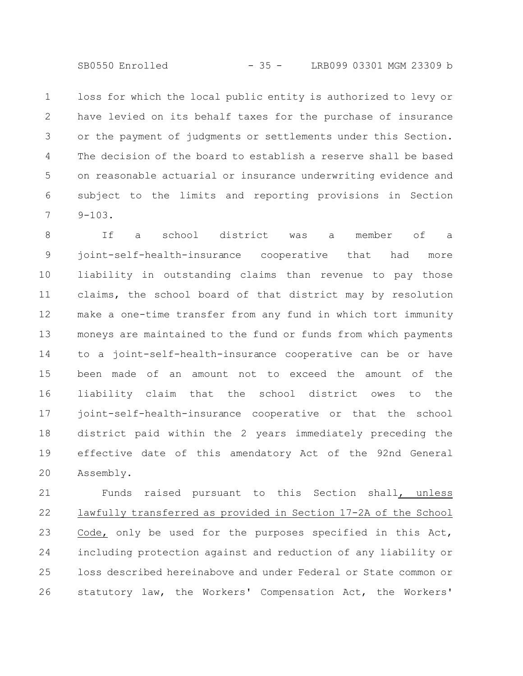SB0550 Enrolled - 35 - LRB099 03301 MGM 23309 b

loss for which the local public entity is authorized to levy or have levied on its behalf taxes for the purchase of insurance or the payment of judgments or settlements under this Section. The decision of the board to establish a reserve shall be based on reasonable actuarial or insurance underwriting evidence and subject to the limits and reporting provisions in Section 9-103. 1 2 3 4 5 6 7

If a school district was a member of a joint-self-health-insurance cooperative that had more liability in outstanding claims than revenue to pay those claims, the school board of that district may by resolution make a one-time transfer from any fund in which tort immunity moneys are maintained to the fund or funds from which payments to a joint-self-health-insurance cooperative can be or have been made of an amount not to exceed the amount of the liability claim that the school district owes to the joint-self-health-insurance cooperative or that the school district paid within the 2 years immediately preceding the effective date of this amendatory Act of the 92nd General Assembly. 8 9 10 11 12 13 14 15 16 17 18 19 20

Funds raised pursuant to this Section shall, unless lawfully transferred as provided in Section 17-2A of the School Code, only be used for the purposes specified in this Act, including protection against and reduction of any liability or loss described hereinabove and under Federal or State common or statutory law, the Workers' Compensation Act, the Workers' 21 22 23 24 25 26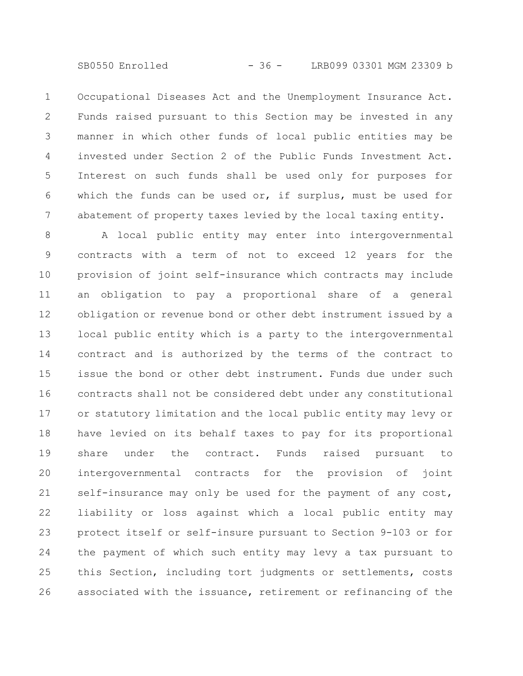Occupational Diseases Act and the Unemployment Insurance Act. Funds raised pursuant to this Section may be invested in any manner in which other funds of local public entities may be invested under Section 2 of the Public Funds Investment Act. Interest on such funds shall be used only for purposes for which the funds can be used or, if surplus, must be used for abatement of property taxes levied by the local taxing entity. 1 2 3 4 5 6 7

A local public entity may enter into intergovernmental contracts with a term of not to exceed 12 years for the provision of joint self-insurance which contracts may include an obligation to pay a proportional share of a general obligation or revenue bond or other debt instrument issued by a local public entity which is a party to the intergovernmental contract and is authorized by the terms of the contract to issue the bond or other debt instrument. Funds due under such contracts shall not be considered debt under any constitutional or statutory limitation and the local public entity may levy or have levied on its behalf taxes to pay for its proportional share under the contract. Funds raised pursuant to intergovernmental contracts for the provision of joint self-insurance may only be used for the payment of any cost, liability or loss against which a local public entity may protect itself or self-insure pursuant to Section 9-103 or for the payment of which such entity may levy a tax pursuant to this Section, including tort judgments or settlements, costs associated with the issuance, retirement or refinancing of the 8 9 10 11 12 13 14 15 16 17 18 19 20 21 22 23 24 25 26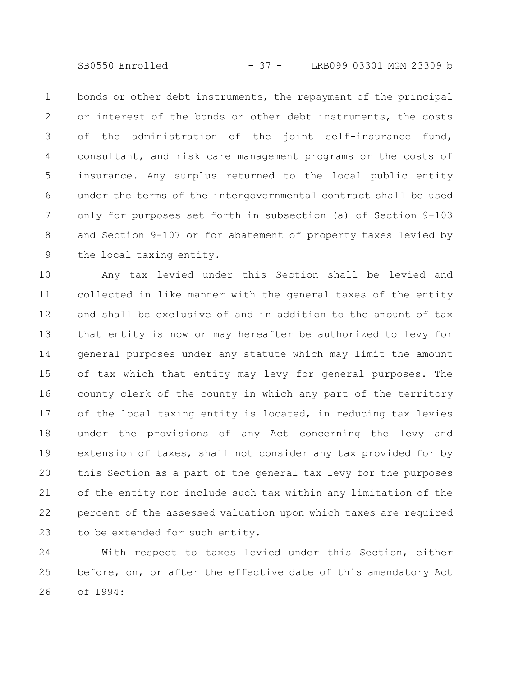SB0550 Enrolled - 37 - LRB099 03301 MGM 23309 b

bonds or other debt instruments, the repayment of the principal or interest of the bonds or other debt instruments, the costs of the administration of the joint self-insurance fund, consultant, and risk care management programs or the costs of insurance. Any surplus returned to the local public entity under the terms of the intergovernmental contract shall be used only for purposes set forth in subsection (a) of Section 9-103 and Section 9-107 or for abatement of property taxes levied by the local taxing entity. 1 2 3 4 5 6 7 8 9

Any tax levied under this Section shall be levied and collected in like manner with the general taxes of the entity and shall be exclusive of and in addition to the amount of tax that entity is now or may hereafter be authorized to levy for general purposes under any statute which may limit the amount of tax which that entity may levy for general purposes. The county clerk of the county in which any part of the territory of the local taxing entity is located, in reducing tax levies under the provisions of any Act concerning the levy and extension of taxes, shall not consider any tax provided for by this Section as a part of the general tax levy for the purposes of the entity nor include such tax within any limitation of the percent of the assessed valuation upon which taxes are required to be extended for such entity. 10 11 12 13 14 15 16 17 18 19 20 21 22 23

With respect to taxes levied under this Section, either before, on, or after the effective date of this amendatory Act of 1994: 24 25 26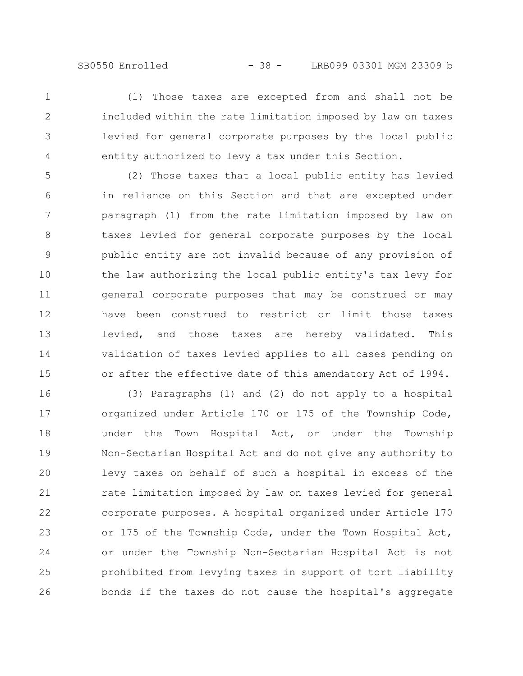(1) Those taxes are excepted from and shall not be included within the rate limitation imposed by law on taxes levied for general corporate purposes by the local public entity authorized to levy a tax under this Section. 1 2 3 4

(2) Those taxes that a local public entity has levied in reliance on this Section and that are excepted under paragraph (1) from the rate limitation imposed by law on taxes levied for general corporate purposes by the local public entity are not invalid because of any provision of the law authorizing the local public entity's tax levy for general corporate purposes that may be construed or may have been construed to restrict or limit those taxes levied, and those taxes are hereby validated. This validation of taxes levied applies to all cases pending on or after the effective date of this amendatory Act of 1994. 5 6 7 8 9 10 11 12 13 14 15

(3) Paragraphs (1) and (2) do not apply to a hospital organized under Article 170 or 175 of the Township Code, under the Town Hospital Act, or under the Township Non-Sectarian Hospital Act and do not give any authority to levy taxes on behalf of such a hospital in excess of the rate limitation imposed by law on taxes levied for general corporate purposes. A hospital organized under Article 170 or 175 of the Township Code, under the Town Hospital Act, or under the Township Non-Sectarian Hospital Act is not prohibited from levying taxes in support of tort liability bonds if the taxes do not cause the hospital's aggregate 16 17 18 19 20 21 22 23 24 25 26